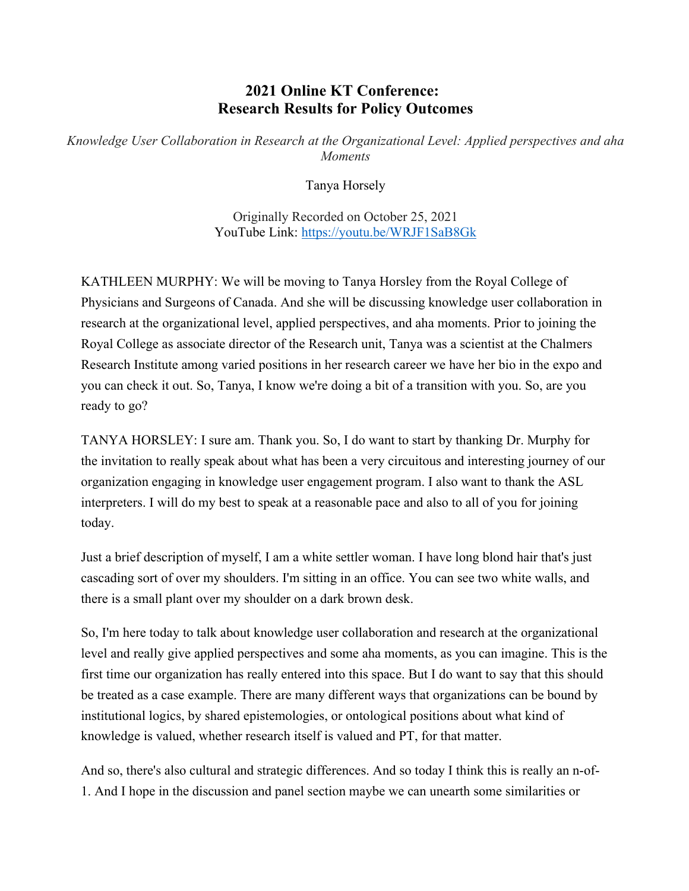## **2021 Online KT Conference: Research Results for Policy Outcomes**

*Knowledge User Collaboration in Research at the Organizational Level: Applied perspectives and aha Moments*

Tanya Horsely

Originally Recorded on October 25, 2021 YouTube Link: <https://youtu.be/WRJF1SaB8Gk>

KATHLEEN MURPHY: We will be moving to Tanya Horsley from the Royal College of Physicians and Surgeons of Canada. And she will be discussing knowledge user collaboration in research at the organizational level, applied perspectives, and aha moments. Prior to joining the Royal College as associate director of the Research unit, Tanya was a scientist at the Chalmers Research Institute among varied positions in her research career we have her bio in the expo and you can check it out. So, Tanya, I know we're doing a bit of a transition with you. So, are you ready to go?

TANYA HORSLEY: I sure am. Thank you. So, I do want to start by thanking Dr. Murphy for the invitation to really speak about what has been a very circuitous and interesting journey of our organization engaging in knowledge user engagement program. I also want to thank the ASL interpreters. I will do my best to speak at a reasonable pace and also to all of you for joining today.

Just a brief description of myself, I am a white settler woman. I have long blond hair that's just cascading sort of over my shoulders. I'm sitting in an office. You can see two white walls, and there is a small plant over my shoulder on a dark brown desk.

So, I'm here today to talk about knowledge user collaboration and research at the organizational level and really give applied perspectives and some aha moments, as you can imagine. This is the first time our organization has really entered into this space. But I do want to say that this should be treated as a case example. There are many different ways that organizations can be bound by institutional logics, by shared epistemologies, or ontological positions about what kind of knowledge is valued, whether research itself is valued and PT, for that matter.

And so, there's also cultural and strategic differences. And so today I think this is really an n-of-1. And I hope in the discussion and panel section maybe we can unearth some similarities or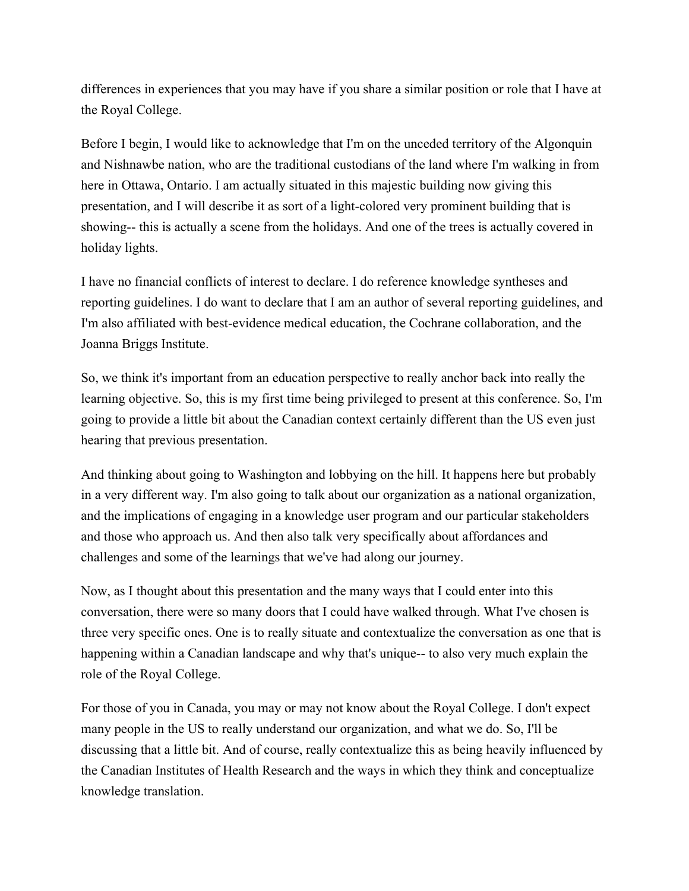differences in experiences that you may have if you share a similar position or role that I have at the Royal College.

Before I begin, I would like to acknowledge that I'm on the unceded territory of the Algonquin and Nishnawbe nation, who are the traditional custodians of the land where I'm walking in from here in Ottawa, Ontario. I am actually situated in this majestic building now giving this presentation, and I will describe it as sort of a light-colored very prominent building that is showing-- this is actually a scene from the holidays. And one of the trees is actually covered in holiday lights.

I have no financial conflicts of interest to declare. I do reference knowledge syntheses and reporting guidelines. I do want to declare that I am an author of several reporting guidelines, and I'm also affiliated with best-evidence medical education, the Cochrane collaboration, and the Joanna Briggs Institute.

So, we think it's important from an education perspective to really anchor back into really the learning objective. So, this is my first time being privileged to present at this conference. So, I'm going to provide a little bit about the Canadian context certainly different than the US even just hearing that previous presentation.

And thinking about going to Washington and lobbying on the hill. It happens here but probably in a very different way. I'm also going to talk about our organization as a national organization, and the implications of engaging in a knowledge user program and our particular stakeholders and those who approach us. And then also talk very specifically about affordances and challenges and some of the learnings that we've had along our journey.

Now, as I thought about this presentation and the many ways that I could enter into this conversation, there were so many doors that I could have walked through. What I've chosen is three very specific ones. One is to really situate and contextualize the conversation as one that is happening within a Canadian landscape and why that's unique-- to also very much explain the role of the Royal College.

For those of you in Canada, you may or may not know about the Royal College. I don't expect many people in the US to really understand our organization, and what we do. So, I'll be discussing that a little bit. And of course, really contextualize this as being heavily influenced by the Canadian Institutes of Health Research and the ways in which they think and conceptualize knowledge translation.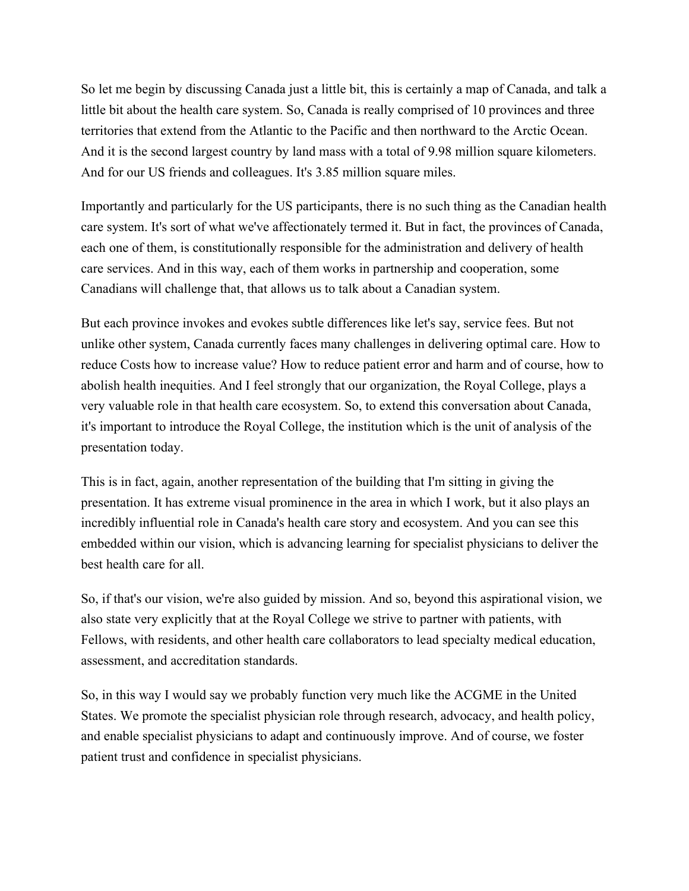So let me begin by discussing Canada just a little bit, this is certainly a map of Canada, and talk a little bit about the health care system. So, Canada is really comprised of 10 provinces and three territories that extend from the Atlantic to the Pacific and then northward to the Arctic Ocean. And it is the second largest country by land mass with a total of 9.98 million square kilometers. And for our US friends and colleagues. It's 3.85 million square miles.

Importantly and particularly for the US participants, there is no such thing as the Canadian health care system. It's sort of what we've affectionately termed it. But in fact, the provinces of Canada, each one of them, is constitutionally responsible for the administration and delivery of health care services. And in this way, each of them works in partnership and cooperation, some Canadians will challenge that, that allows us to talk about a Canadian system.

But each province invokes and evokes subtle differences like let's say, service fees. But not unlike other system, Canada currently faces many challenges in delivering optimal care. How to reduce Costs how to increase value? How to reduce patient error and harm and of course, how to abolish health inequities. And I feel strongly that our organization, the Royal College, plays a very valuable role in that health care ecosystem. So, to extend this conversation about Canada, it's important to introduce the Royal College, the institution which is the unit of analysis of the presentation today.

This is in fact, again, another representation of the building that I'm sitting in giving the presentation. It has extreme visual prominence in the area in which I work, but it also plays an incredibly influential role in Canada's health care story and ecosystem. And you can see this embedded within our vision, which is advancing learning for specialist physicians to deliver the best health care for all.

So, if that's our vision, we're also guided by mission. And so, beyond this aspirational vision, we also state very explicitly that at the Royal College we strive to partner with patients, with Fellows, with residents, and other health care collaborators to lead specialty medical education, assessment, and accreditation standards.

So, in this way I would say we probably function very much like the ACGME in the United States. We promote the specialist physician role through research, advocacy, and health policy, and enable specialist physicians to adapt and continuously improve. And of course, we foster patient trust and confidence in specialist physicians.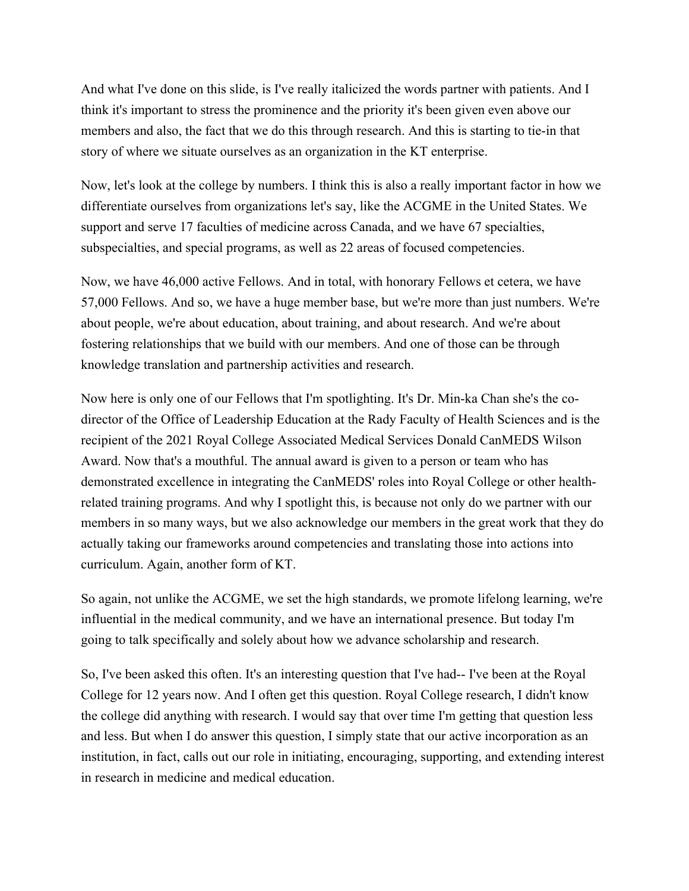And what I've done on this slide, is I've really italicized the words partner with patients. And I think it's important to stress the prominence and the priority it's been given even above our members and also, the fact that we do this through research. And this is starting to tie-in that story of where we situate ourselves as an organization in the KT enterprise.

Now, let's look at the college by numbers. I think this is also a really important factor in how we differentiate ourselves from organizations let's say, like the ACGME in the United States. We support and serve 17 faculties of medicine across Canada, and we have 67 specialties, subspecialties, and special programs, as well as 22 areas of focused competencies.

Now, we have 46,000 active Fellows. And in total, with honorary Fellows et cetera, we have 57,000 Fellows. And so, we have a huge member base, but we're more than just numbers. We're about people, we're about education, about training, and about research. And we're about fostering relationships that we build with our members. And one of those can be through knowledge translation and partnership activities and research.

Now here is only one of our Fellows that I'm spotlighting. It's Dr. Min-ka Chan she's the codirector of the Office of Leadership Education at the Rady Faculty of Health Sciences and is the recipient of the 2021 Royal College Associated Medical Services Donald CanMEDS Wilson Award. Now that's a mouthful. The annual award is given to a person or team who has demonstrated excellence in integrating the CanMEDS' roles into Royal College or other healthrelated training programs. And why I spotlight this, is because not only do we partner with our members in so many ways, but we also acknowledge our members in the great work that they do actually taking our frameworks around competencies and translating those into actions into curriculum. Again, another form of KT.

So again, not unlike the ACGME, we set the high standards, we promote lifelong learning, we're influential in the medical community, and we have an international presence. But today I'm going to talk specifically and solely about how we advance scholarship and research.

So, I've been asked this often. It's an interesting question that I've had-- I've been at the Royal College for 12 years now. And I often get this question. Royal College research, I didn't know the college did anything with research. I would say that over time I'm getting that question less and less. But when I do answer this question, I simply state that our active incorporation as an institution, in fact, calls out our role in initiating, encouraging, supporting, and extending interest in research in medicine and medical education.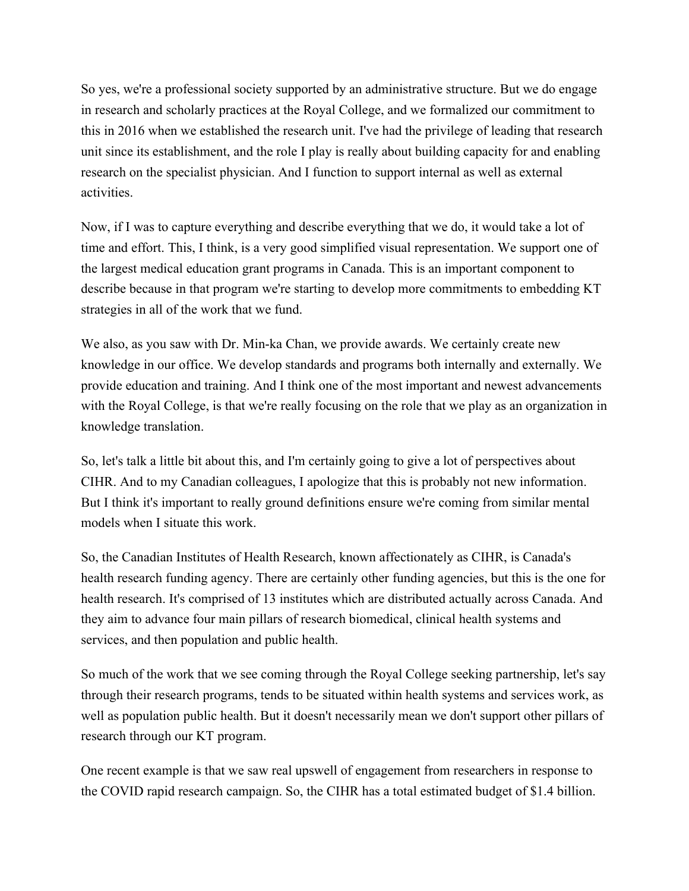So yes, we're a professional society supported by an administrative structure. But we do engage in research and scholarly practices at the Royal College, and we formalized our commitment to this in 2016 when we established the research unit. I've had the privilege of leading that research unit since its establishment, and the role I play is really about building capacity for and enabling research on the specialist physician. And I function to support internal as well as external activities.

Now, if I was to capture everything and describe everything that we do, it would take a lot of time and effort. This, I think, is a very good simplified visual representation. We support one of the largest medical education grant programs in Canada. This is an important component to describe because in that program we're starting to develop more commitments to embedding KT strategies in all of the work that we fund.

We also, as you saw with Dr. Min-ka Chan, we provide awards. We certainly create new knowledge in our office. We develop standards and programs both internally and externally. We provide education and training. And I think one of the most important and newest advancements with the Royal College, is that we're really focusing on the role that we play as an organization in knowledge translation.

So, let's talk a little bit about this, and I'm certainly going to give a lot of perspectives about CIHR. And to my Canadian colleagues, I apologize that this is probably not new information. But I think it's important to really ground definitions ensure we're coming from similar mental models when I situate this work.

So, the Canadian Institutes of Health Research, known affectionately as CIHR, is Canada's health research funding agency. There are certainly other funding agencies, but this is the one for health research. It's comprised of 13 institutes which are distributed actually across Canada. And they aim to advance four main pillars of research biomedical, clinical health systems and services, and then population and public health.

So much of the work that we see coming through the Royal College seeking partnership, let's say through their research programs, tends to be situated within health systems and services work, as well as population public health. But it doesn't necessarily mean we don't support other pillars of research through our KT program.

One recent example is that we saw real upswell of engagement from researchers in response to the COVID rapid research campaign. So, the CIHR has a total estimated budget of \$1.4 billion.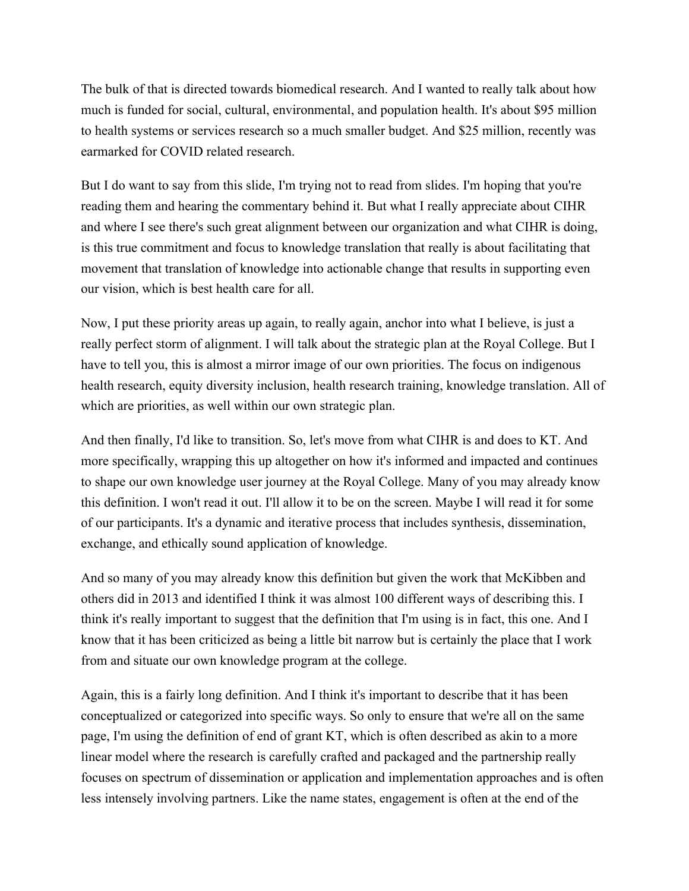The bulk of that is directed towards biomedical research. And I wanted to really talk about how much is funded for social, cultural, environmental, and population health. It's about \$95 million to health systems or services research so a much smaller budget. And \$25 million, recently was earmarked for COVID related research.

But I do want to say from this slide, I'm trying not to read from slides. I'm hoping that you're reading them and hearing the commentary behind it. But what I really appreciate about CIHR and where I see there's such great alignment between our organization and what CIHR is doing, is this true commitment and focus to knowledge translation that really is about facilitating that movement that translation of knowledge into actionable change that results in supporting even our vision, which is best health care for all.

Now, I put these priority areas up again, to really again, anchor into what I believe, is just a really perfect storm of alignment. I will talk about the strategic plan at the Royal College. But I have to tell you, this is almost a mirror image of our own priorities. The focus on indigenous health research, equity diversity inclusion, health research training, knowledge translation. All of which are priorities, as well within our own strategic plan.

And then finally, I'd like to transition. So, let's move from what CIHR is and does to KT. And more specifically, wrapping this up altogether on how it's informed and impacted and continues to shape our own knowledge user journey at the Royal College. Many of you may already know this definition. I won't read it out. I'll allow it to be on the screen. Maybe I will read it for some of our participants. It's a dynamic and iterative process that includes synthesis, dissemination, exchange, and ethically sound application of knowledge.

And so many of you may already know this definition but given the work that McKibben and others did in 2013 and identified I think it was almost 100 different ways of describing this. I think it's really important to suggest that the definition that I'm using is in fact, this one. And I know that it has been criticized as being a little bit narrow but is certainly the place that I work from and situate our own knowledge program at the college.

Again, this is a fairly long definition. And I think it's important to describe that it has been conceptualized or categorized into specific ways. So only to ensure that we're all on the same page, I'm using the definition of end of grant KT, which is often described as akin to a more linear model where the research is carefully crafted and packaged and the partnership really focuses on spectrum of dissemination or application and implementation approaches and is often less intensely involving partners. Like the name states, engagement is often at the end of the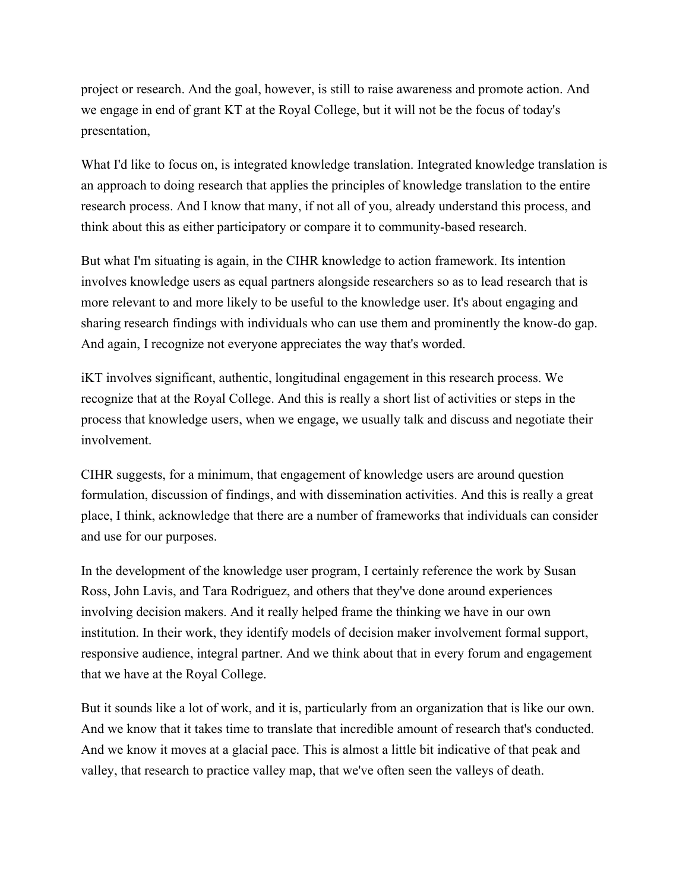project or research. And the goal, however, is still to raise awareness and promote action. And we engage in end of grant KT at the Royal College, but it will not be the focus of today's presentation,

What I'd like to focus on, is integrated knowledge translation. Integrated knowledge translation is an approach to doing research that applies the principles of knowledge translation to the entire research process. And I know that many, if not all of you, already understand this process, and think about this as either participatory or compare it to community-based research.

But what I'm situating is again, in the CIHR knowledge to action framework. Its intention involves knowledge users as equal partners alongside researchers so as to lead research that is more relevant to and more likely to be useful to the knowledge user. It's about engaging and sharing research findings with individuals who can use them and prominently the know-do gap. And again, I recognize not everyone appreciates the way that's worded.

iKT involves significant, authentic, longitudinal engagement in this research process. We recognize that at the Royal College. And this is really a short list of activities or steps in the process that knowledge users, when we engage, we usually talk and discuss and negotiate their involvement.

CIHR suggests, for a minimum, that engagement of knowledge users are around question formulation, discussion of findings, and with dissemination activities. And this is really a great place, I think, acknowledge that there are a number of frameworks that individuals can consider and use for our purposes.

In the development of the knowledge user program, I certainly reference the work by Susan Ross, John Lavis, and Tara Rodriguez, and others that they've done around experiences involving decision makers. And it really helped frame the thinking we have in our own institution. In their work, they identify models of decision maker involvement formal support, responsive audience, integral partner. And we think about that in every forum and engagement that we have at the Royal College.

But it sounds like a lot of work, and it is, particularly from an organization that is like our own. And we know that it takes time to translate that incredible amount of research that's conducted. And we know it moves at a glacial pace. This is almost a little bit indicative of that peak and valley, that research to practice valley map, that we've often seen the valleys of death.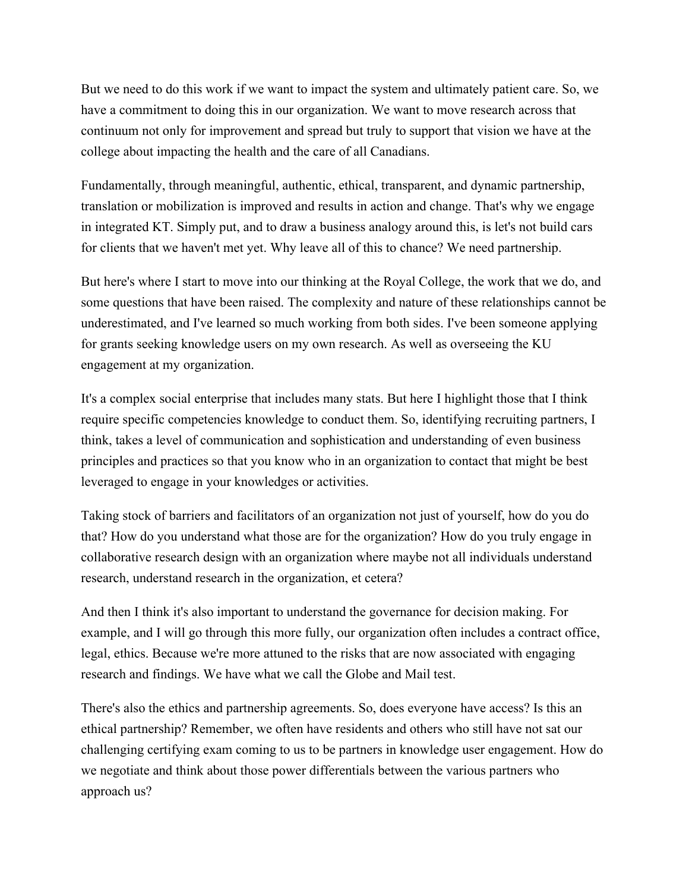But we need to do this work if we want to impact the system and ultimately patient care. So, we have a commitment to doing this in our organization. We want to move research across that continuum not only for improvement and spread but truly to support that vision we have at the college about impacting the health and the care of all Canadians.

Fundamentally, through meaningful, authentic, ethical, transparent, and dynamic partnership, translation or mobilization is improved and results in action and change. That's why we engage in integrated KT. Simply put, and to draw a business analogy around this, is let's not build cars for clients that we haven't met yet. Why leave all of this to chance? We need partnership.

But here's where I start to move into our thinking at the Royal College, the work that we do, and some questions that have been raised. The complexity and nature of these relationships cannot be underestimated, and I've learned so much working from both sides. I've been someone applying for grants seeking knowledge users on my own research. As well as overseeing the KU engagement at my organization.

It's a complex social enterprise that includes many stats. But here I highlight those that I think require specific competencies knowledge to conduct them. So, identifying recruiting partners, I think, takes a level of communication and sophistication and understanding of even business principles and practices so that you know who in an organization to contact that might be best leveraged to engage in your knowledges or activities.

Taking stock of barriers and facilitators of an organization not just of yourself, how do you do that? How do you understand what those are for the organization? How do you truly engage in collaborative research design with an organization where maybe not all individuals understand research, understand research in the organization, et cetera?

And then I think it's also important to understand the governance for decision making. For example, and I will go through this more fully, our organization often includes a contract office, legal, ethics. Because we're more attuned to the risks that are now associated with engaging research and findings. We have what we call the Globe and Mail test.

There's also the ethics and partnership agreements. So, does everyone have access? Is this an ethical partnership? Remember, we often have residents and others who still have not sat our challenging certifying exam coming to us to be partners in knowledge user engagement. How do we negotiate and think about those power differentials between the various partners who approach us?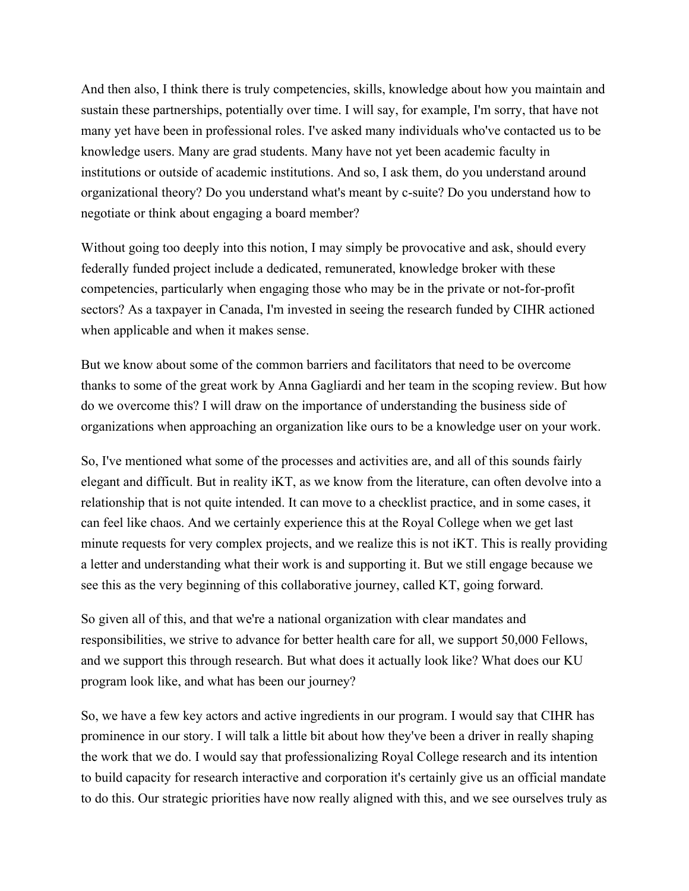And then also, I think there is truly competencies, skills, knowledge about how you maintain and sustain these partnerships, potentially over time. I will say, for example, I'm sorry, that have not many yet have been in professional roles. I've asked many individuals who've contacted us to be knowledge users. Many are grad students. Many have not yet been academic faculty in institutions or outside of academic institutions. And so, I ask them, do you understand around organizational theory? Do you understand what's meant by c-suite? Do you understand how to negotiate or think about engaging a board member?

Without going too deeply into this notion, I may simply be provocative and ask, should every federally funded project include a dedicated, remunerated, knowledge broker with these competencies, particularly when engaging those who may be in the private or not-for-profit sectors? As a taxpayer in Canada, I'm invested in seeing the research funded by CIHR actioned when applicable and when it makes sense.

But we know about some of the common barriers and facilitators that need to be overcome thanks to some of the great work by Anna Gagliardi and her team in the scoping review. But how do we overcome this? I will draw on the importance of understanding the business side of organizations when approaching an organization like ours to be a knowledge user on your work.

So, I've mentioned what some of the processes and activities are, and all of this sounds fairly elegant and difficult. But in reality iKT, as we know from the literature, can often devolve into a relationship that is not quite intended. It can move to a checklist practice, and in some cases, it can feel like chaos. And we certainly experience this at the Royal College when we get last minute requests for very complex projects, and we realize this is not iKT. This is really providing a letter and understanding what their work is and supporting it. But we still engage because we see this as the very beginning of this collaborative journey, called KT, going forward.

So given all of this, and that we're a national organization with clear mandates and responsibilities, we strive to advance for better health care for all, we support 50,000 Fellows, and we support this through research. But what does it actually look like? What does our KU program look like, and what has been our journey?

So, we have a few key actors and active ingredients in our program. I would say that CIHR has prominence in our story. I will talk a little bit about how they've been a driver in really shaping the work that we do. I would say that professionalizing Royal College research and its intention to build capacity for research interactive and corporation it's certainly give us an official mandate to do this. Our strategic priorities have now really aligned with this, and we see ourselves truly as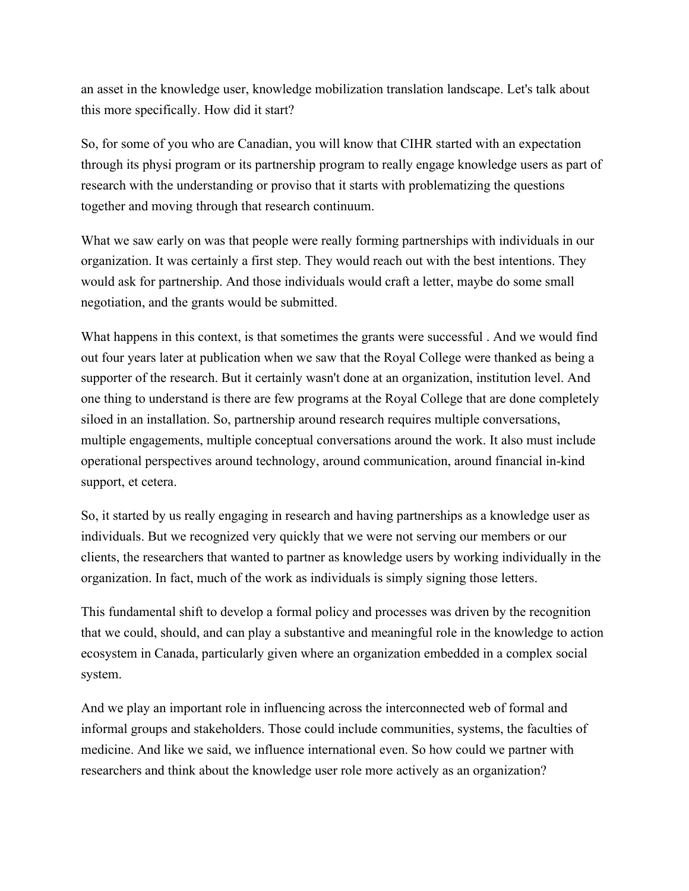an asset in the knowledge user, knowledge mobilization translation landscape. Let's talk about this more specifically. How did it start?

So, for some of you who are Canadian, you will know that CIHR started with an expectation through its physi program or its partnership program to really engage knowledge users as part of research with the understanding or proviso that it starts with problematizing the questions together and moving through that research continuum.

What we saw early on was that people were really forming partnerships with individuals in our organization. It was certainly a first step. They would reach out with the best intentions. They would ask for partnership. And those individuals would craft a letter, maybe do some small negotiation, and the grants would be submitted.

What happens in this context, is that sometimes the grants were successful . And we would find out four years later at publication when we saw that the Royal College were thanked as being a supporter of the research. But it certainly wasn't done at an organization, institution level. And one thing to understand is there are few programs at the Royal College that are done completely siloed in an installation. So, partnership around research requires multiple conversations, multiple engagements, multiple conceptual conversations around the work. It also must include operational perspectives around technology, around communication, around financial in-kind support, et cetera.

So, it started by us really engaging in research and having partnerships as a knowledge user as individuals. But we recognized very quickly that we were not serving our members or our clients, the researchers that wanted to partner as knowledge users by working individually in the organization. In fact, much of the work as individuals is simply signing those letters.

This fundamental shift to develop a formal policy and processes was driven by the recognition that we could, should, and can play a substantive and meaningful role in the knowledge to action ecosystem in Canada, particularly given where an organization embedded in a complex social system.

And we play an important role in influencing across the interconnected web of formal and informal groups and stakeholders. Those could include communities, systems, the faculties of medicine. And like we said, we influence international even. So how could we partner with researchers and think about the knowledge user role more actively as an organization?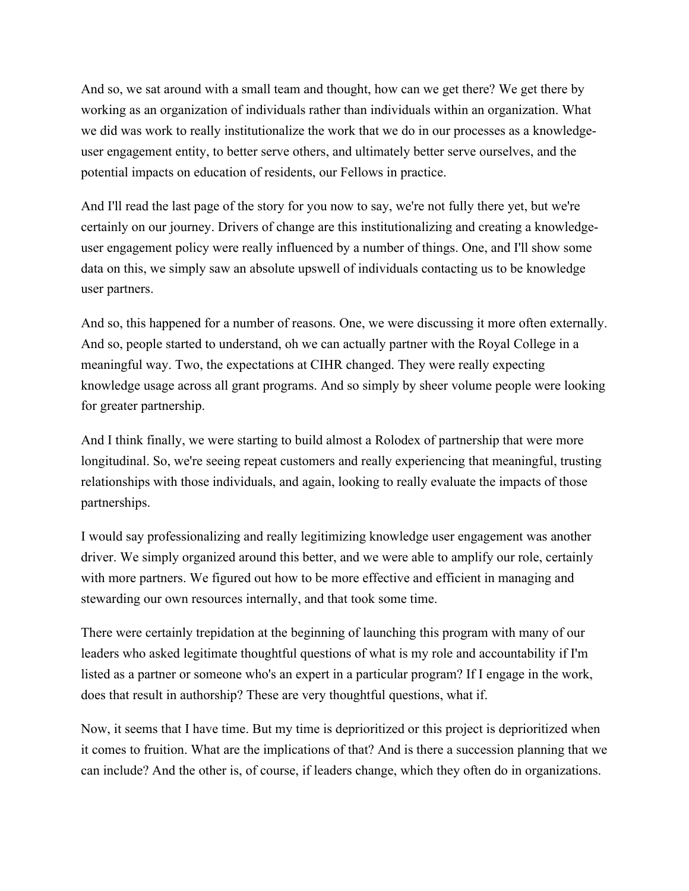And so, we sat around with a small team and thought, how can we get there? We get there by working as an organization of individuals rather than individuals within an organization. What we did was work to really institutionalize the work that we do in our processes as a knowledgeuser engagement entity, to better serve others, and ultimately better serve ourselves, and the potential impacts on education of residents, our Fellows in practice.

And I'll read the last page of the story for you now to say, we're not fully there yet, but we're certainly on our journey. Drivers of change are this institutionalizing and creating a knowledgeuser engagement policy were really influenced by a number of things. One, and I'll show some data on this, we simply saw an absolute upswell of individuals contacting us to be knowledge user partners.

And so, this happened for a number of reasons. One, we were discussing it more often externally. And so, people started to understand, oh we can actually partner with the Royal College in a meaningful way. Two, the expectations at CIHR changed. They were really expecting knowledge usage across all grant programs. And so simply by sheer volume people were looking for greater partnership.

And I think finally, we were starting to build almost a Rolodex of partnership that were more longitudinal. So, we're seeing repeat customers and really experiencing that meaningful, trusting relationships with those individuals, and again, looking to really evaluate the impacts of those partnerships.

I would say professionalizing and really legitimizing knowledge user engagement was another driver. We simply organized around this better, and we were able to amplify our role, certainly with more partners. We figured out how to be more effective and efficient in managing and stewarding our own resources internally, and that took some time.

There were certainly trepidation at the beginning of launching this program with many of our leaders who asked legitimate thoughtful questions of what is my role and accountability if I'm listed as a partner or someone who's an expert in a particular program? If I engage in the work, does that result in authorship? These are very thoughtful questions, what if.

Now, it seems that I have time. But my time is deprioritized or this project is deprioritized when it comes to fruition. What are the implications of that? And is there a succession planning that we can include? And the other is, of course, if leaders change, which they often do in organizations.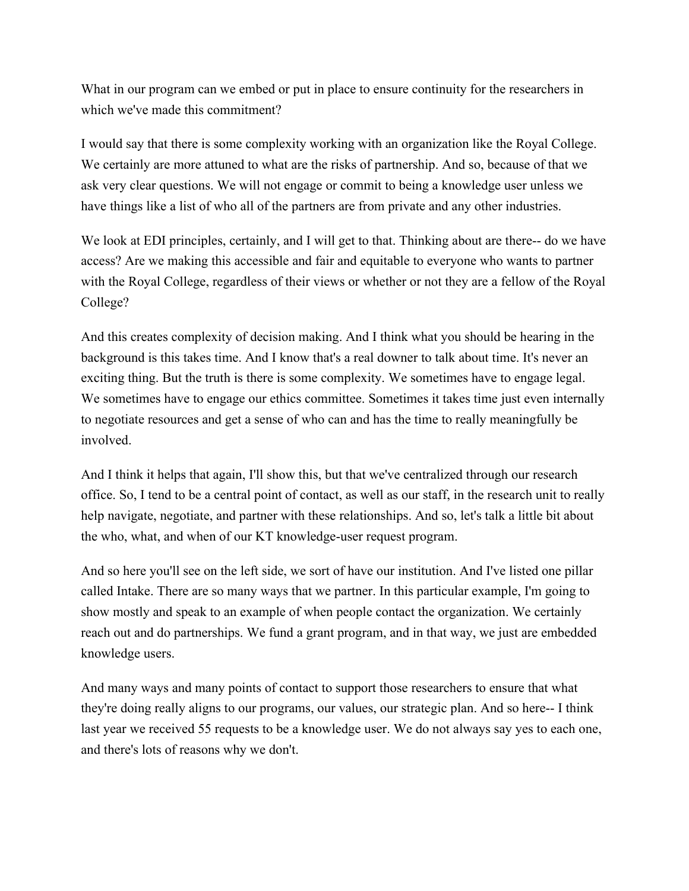What in our program can we embed or put in place to ensure continuity for the researchers in which we've made this commitment?

I would say that there is some complexity working with an organization like the Royal College. We certainly are more attuned to what are the risks of partnership. And so, because of that we ask very clear questions. We will not engage or commit to being a knowledge user unless we have things like a list of who all of the partners are from private and any other industries.

We look at EDI principles, certainly, and I will get to that. Thinking about are there-- do we have access? Are we making this accessible and fair and equitable to everyone who wants to partner with the Royal College, regardless of their views or whether or not they are a fellow of the Royal College?

And this creates complexity of decision making. And I think what you should be hearing in the background is this takes time. And I know that's a real downer to talk about time. It's never an exciting thing. But the truth is there is some complexity. We sometimes have to engage legal. We sometimes have to engage our ethics committee. Sometimes it takes time just even internally to negotiate resources and get a sense of who can and has the time to really meaningfully be involved.

And I think it helps that again, I'll show this, but that we've centralized through our research office. So, I tend to be a central point of contact, as well as our staff, in the research unit to really help navigate, negotiate, and partner with these relationships. And so, let's talk a little bit about the who, what, and when of our KT knowledge-user request program.

And so here you'll see on the left side, we sort of have our institution. And I've listed one pillar called Intake. There are so many ways that we partner. In this particular example, I'm going to show mostly and speak to an example of when people contact the organization. We certainly reach out and do partnerships. We fund a grant program, and in that way, we just are embedded knowledge users.

And many ways and many points of contact to support those researchers to ensure that what they're doing really aligns to our programs, our values, our strategic plan. And so here-- I think last year we received 55 requests to be a knowledge user. We do not always say yes to each one, and there's lots of reasons why we don't.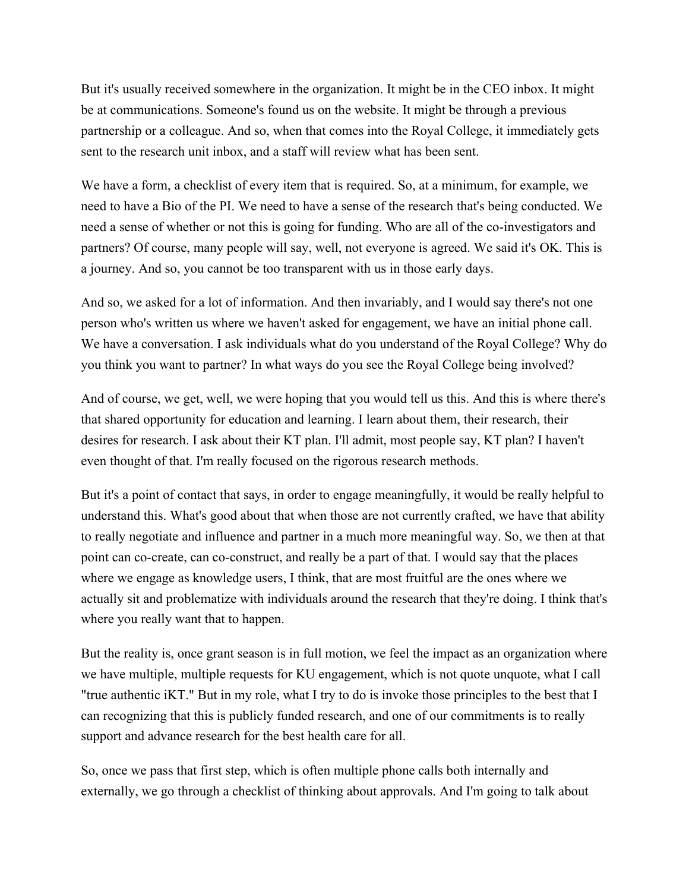But it's usually received somewhere in the organization. It might be in the CEO inbox. It might be at communications. Someone's found us on the website. It might be through a previous partnership or a colleague. And so, when that comes into the Royal College, it immediately gets sent to the research unit inbox, and a staff will review what has been sent.

We have a form, a checklist of every item that is required. So, at a minimum, for example, we need to have a Bio of the PI. We need to have a sense of the research that's being conducted. We need a sense of whether or not this is going for funding. Who are all of the co-investigators and partners? Of course, many people will say, well, not everyone is agreed. We said it's OK. This is a journey. And so, you cannot be too transparent with us in those early days.

And so, we asked for a lot of information. And then invariably, and I would say there's not one person who's written us where we haven't asked for engagement, we have an initial phone call. We have a conversation. I ask individuals what do you understand of the Royal College? Why do you think you want to partner? In what ways do you see the Royal College being involved?

And of course, we get, well, we were hoping that you would tell us this. And this is where there's that shared opportunity for education and learning. I learn about them, their research, their desires for research. I ask about their KT plan. I'll admit, most people say, KT plan? I haven't even thought of that. I'm really focused on the rigorous research methods.

But it's a point of contact that says, in order to engage meaningfully, it would be really helpful to understand this. What's good about that when those are not currently crafted, we have that ability to really negotiate and influence and partner in a much more meaningful way. So, we then at that point can co-create, can co-construct, and really be a part of that. I would say that the places where we engage as knowledge users, I think, that are most fruitful are the ones where we actually sit and problematize with individuals around the research that they're doing. I think that's where you really want that to happen.

But the reality is, once grant season is in full motion, we feel the impact as an organization where we have multiple, multiple requests for KU engagement, which is not quote unquote, what I call "true authentic iKT." But in my role, what I try to do is invoke those principles to the best that I can recognizing that this is publicly funded research, and one of our commitments is to really support and advance research for the best health care for all.

So, once we pass that first step, which is often multiple phone calls both internally and externally, we go through a checklist of thinking about approvals. And I'm going to talk about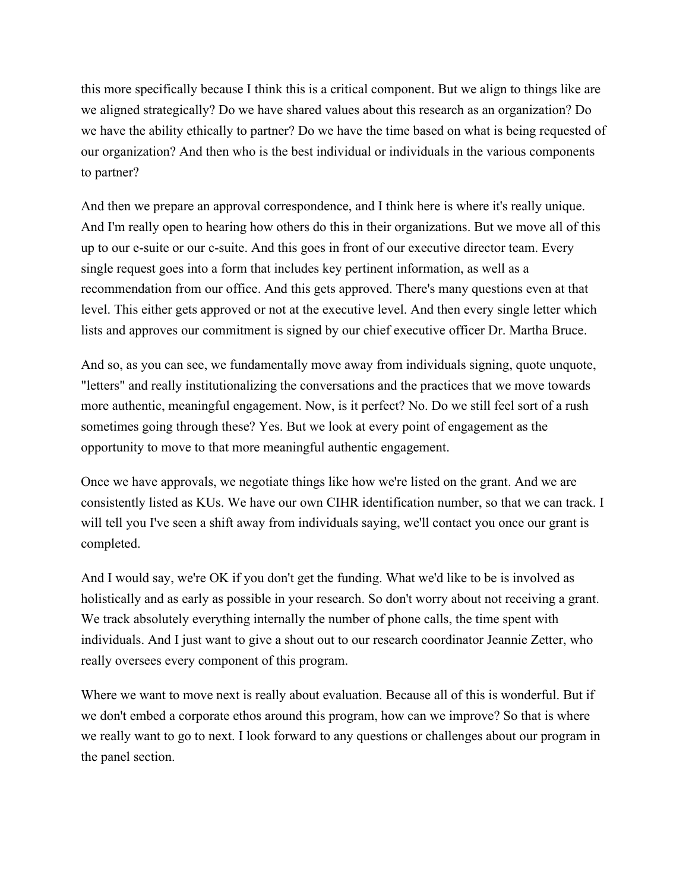this more specifically because I think this is a critical component. But we align to things like are we aligned strategically? Do we have shared values about this research as an organization? Do we have the ability ethically to partner? Do we have the time based on what is being requested of our organization? And then who is the best individual or individuals in the various components to partner?

And then we prepare an approval correspondence, and I think here is where it's really unique. And I'm really open to hearing how others do this in their organizations. But we move all of this up to our e-suite or our c-suite. And this goes in front of our executive director team. Every single request goes into a form that includes key pertinent information, as well as a recommendation from our office. And this gets approved. There's many questions even at that level. This either gets approved or not at the executive level. And then every single letter which lists and approves our commitment is signed by our chief executive officer Dr. Martha Bruce.

And so, as you can see, we fundamentally move away from individuals signing, quote unquote, "letters" and really institutionalizing the conversations and the practices that we move towards more authentic, meaningful engagement. Now, is it perfect? No. Do we still feel sort of a rush sometimes going through these? Yes. But we look at every point of engagement as the opportunity to move to that more meaningful authentic engagement.

Once we have approvals, we negotiate things like how we're listed on the grant. And we are consistently listed as KUs. We have our own CIHR identification number, so that we can track. I will tell you I've seen a shift away from individuals saying, we'll contact you once our grant is completed.

And I would say, we're OK if you don't get the funding. What we'd like to be is involved as holistically and as early as possible in your research. So don't worry about not receiving a grant. We track absolutely everything internally the number of phone calls, the time spent with individuals. And I just want to give a shout out to our research coordinator Jeannie Zetter, who really oversees every component of this program.

Where we want to move next is really about evaluation. Because all of this is wonderful. But if we don't embed a corporate ethos around this program, how can we improve? So that is where we really want to go to next. I look forward to any questions or challenges about our program in the panel section.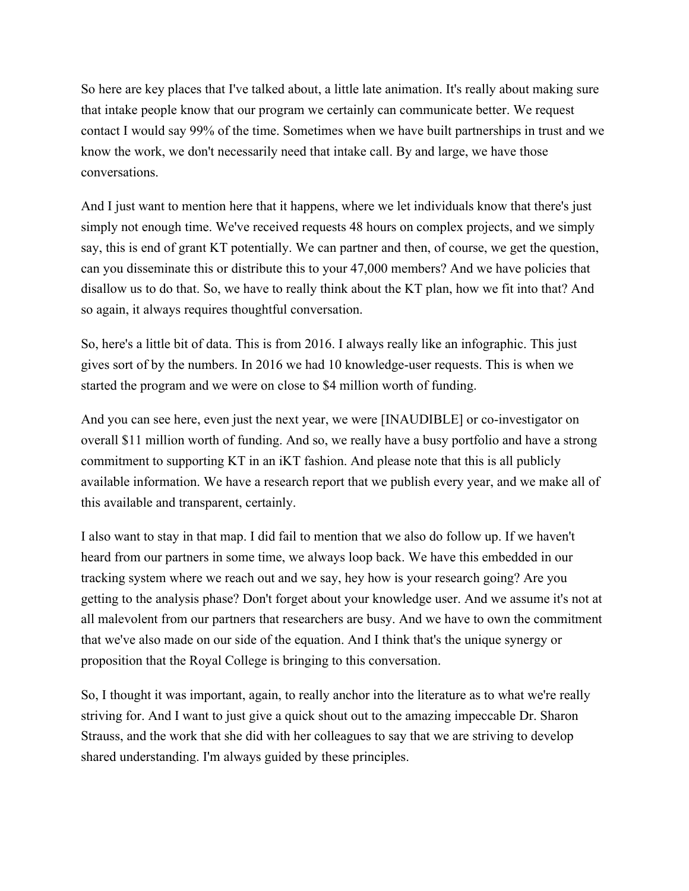So here are key places that I've talked about, a little late animation. It's really about making sure that intake people know that our program we certainly can communicate better. We request contact I would say 99% of the time. Sometimes when we have built partnerships in trust and we know the work, we don't necessarily need that intake call. By and large, we have those conversations.

And I just want to mention here that it happens, where we let individuals know that there's just simply not enough time. We've received requests 48 hours on complex projects, and we simply say, this is end of grant KT potentially. We can partner and then, of course, we get the question, can you disseminate this or distribute this to your 47,000 members? And we have policies that disallow us to do that. So, we have to really think about the KT plan, how we fit into that? And so again, it always requires thoughtful conversation.

So, here's a little bit of data. This is from 2016. I always really like an infographic. This just gives sort of by the numbers. In 2016 we had 10 knowledge-user requests. This is when we started the program and we were on close to \$4 million worth of funding.

And you can see here, even just the next year, we were [INAUDIBLE] or co-investigator on overall \$11 million worth of funding. And so, we really have a busy portfolio and have a strong commitment to supporting KT in an iKT fashion. And please note that this is all publicly available information. We have a research report that we publish every year, and we make all of this available and transparent, certainly.

I also want to stay in that map. I did fail to mention that we also do follow up. If we haven't heard from our partners in some time, we always loop back. We have this embedded in our tracking system where we reach out and we say, hey how is your research going? Are you getting to the analysis phase? Don't forget about your knowledge user. And we assume it's not at all malevolent from our partners that researchers are busy. And we have to own the commitment that we've also made on our side of the equation. And I think that's the unique synergy or proposition that the Royal College is bringing to this conversation.

So, I thought it was important, again, to really anchor into the literature as to what we're really striving for. And I want to just give a quick shout out to the amazing impeccable Dr. Sharon Strauss, and the work that she did with her colleagues to say that we are striving to develop shared understanding. I'm always guided by these principles.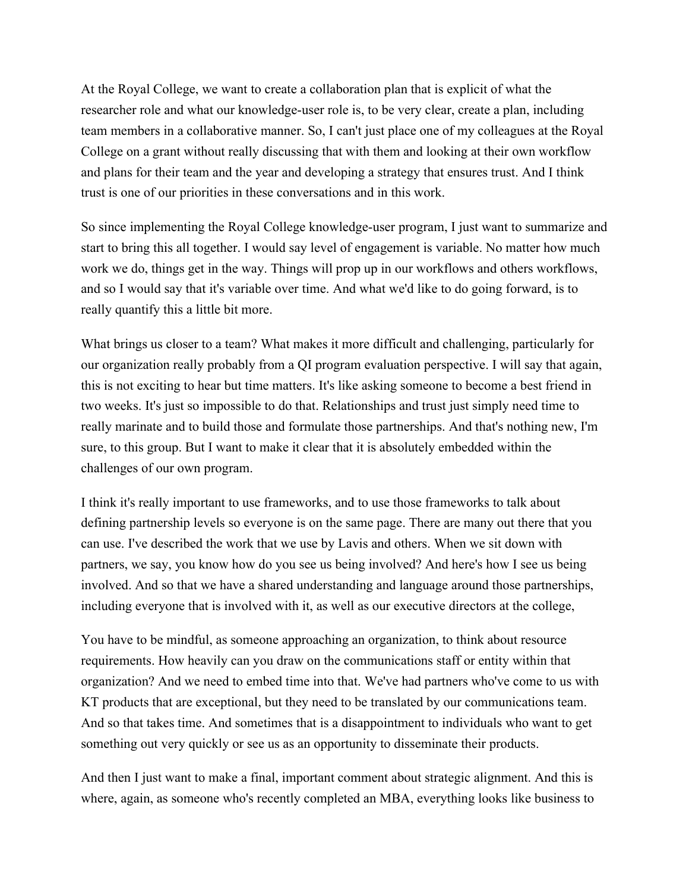At the Royal College, we want to create a collaboration plan that is explicit of what the researcher role and what our knowledge-user role is, to be very clear, create a plan, including team members in a collaborative manner. So, I can't just place one of my colleagues at the Royal College on a grant without really discussing that with them and looking at their own workflow and plans for their team and the year and developing a strategy that ensures trust. And I think trust is one of our priorities in these conversations and in this work.

So since implementing the Royal College knowledge-user program, I just want to summarize and start to bring this all together. I would say level of engagement is variable. No matter how much work we do, things get in the way. Things will prop up in our workflows and others workflows, and so I would say that it's variable over time. And what we'd like to do going forward, is to really quantify this a little bit more.

What brings us closer to a team? What makes it more difficult and challenging, particularly for our organization really probably from a QI program evaluation perspective. I will say that again, this is not exciting to hear but time matters. It's like asking someone to become a best friend in two weeks. It's just so impossible to do that. Relationships and trust just simply need time to really marinate and to build those and formulate those partnerships. And that's nothing new, I'm sure, to this group. But I want to make it clear that it is absolutely embedded within the challenges of our own program.

I think it's really important to use frameworks, and to use those frameworks to talk about defining partnership levels so everyone is on the same page. There are many out there that you can use. I've described the work that we use by Lavis and others. When we sit down with partners, we say, you know how do you see us being involved? And here's how I see us being involved. And so that we have a shared understanding and language around those partnerships, including everyone that is involved with it, as well as our executive directors at the college,

You have to be mindful, as someone approaching an organization, to think about resource requirements. How heavily can you draw on the communications staff or entity within that organization? And we need to embed time into that. We've had partners who've come to us with KT products that are exceptional, but they need to be translated by our communications team. And so that takes time. And sometimes that is a disappointment to individuals who want to get something out very quickly or see us as an opportunity to disseminate their products.

And then I just want to make a final, important comment about strategic alignment. And this is where, again, as someone who's recently completed an MBA, everything looks like business to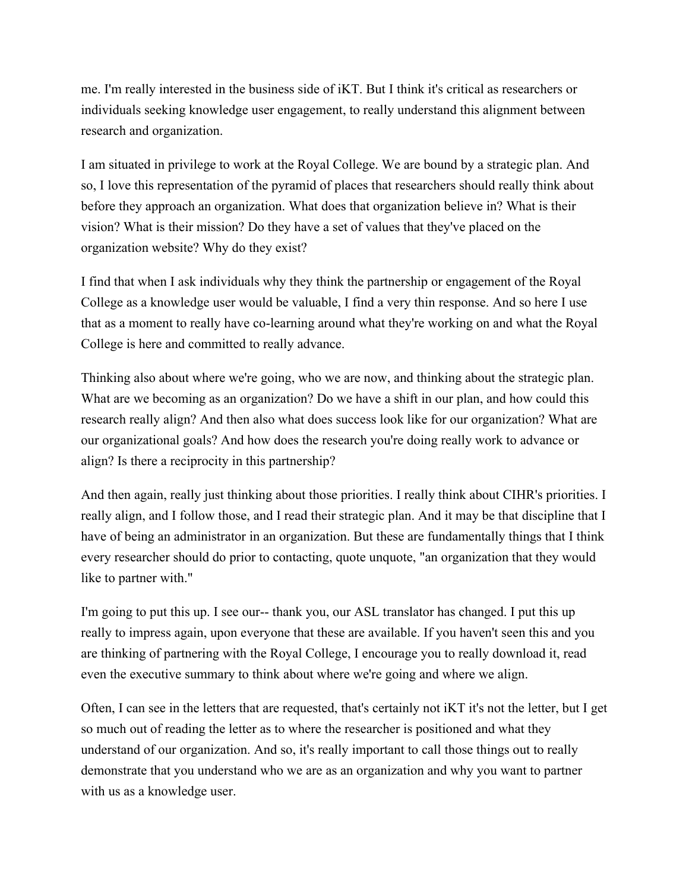me. I'm really interested in the business side of iKT. But I think it's critical as researchers or individuals seeking knowledge user engagement, to really understand this alignment between research and organization.

I am situated in privilege to work at the Royal College. We are bound by a strategic plan. And so, I love this representation of the pyramid of places that researchers should really think about before they approach an organization. What does that organization believe in? What is their vision? What is their mission? Do they have a set of values that they've placed on the organization website? Why do they exist?

I find that when I ask individuals why they think the partnership or engagement of the Royal College as a knowledge user would be valuable, I find a very thin response. And so here I use that as a moment to really have co-learning around what they're working on and what the Royal College is here and committed to really advance.

Thinking also about where we're going, who we are now, and thinking about the strategic plan. What are we becoming as an organization? Do we have a shift in our plan, and how could this research really align? And then also what does success look like for our organization? What are our organizational goals? And how does the research you're doing really work to advance or align? Is there a reciprocity in this partnership?

And then again, really just thinking about those priorities. I really think about CIHR's priorities. I really align, and I follow those, and I read their strategic plan. And it may be that discipline that I have of being an administrator in an organization. But these are fundamentally things that I think every researcher should do prior to contacting, quote unquote, "an organization that they would like to partner with."

I'm going to put this up. I see our-- thank you, our ASL translator has changed. I put this up really to impress again, upon everyone that these are available. If you haven't seen this and you are thinking of partnering with the Royal College, I encourage you to really download it, read even the executive summary to think about where we're going and where we align.

Often, I can see in the letters that are requested, that's certainly not iKT it's not the letter, but I get so much out of reading the letter as to where the researcher is positioned and what they understand of our organization. And so, it's really important to call those things out to really demonstrate that you understand who we are as an organization and why you want to partner with us as a knowledge user.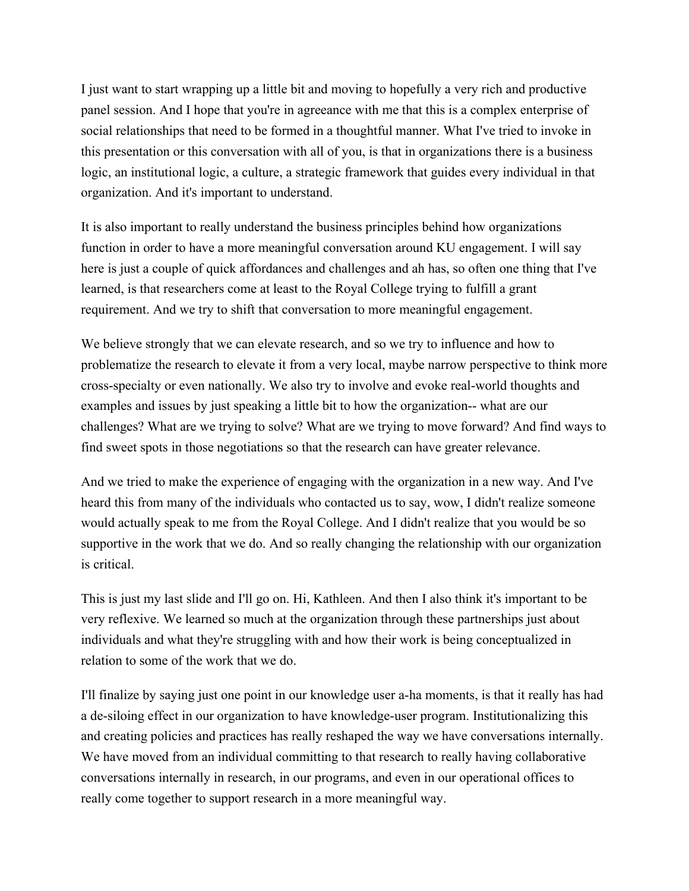I just want to start wrapping up a little bit and moving to hopefully a very rich and productive panel session. And I hope that you're in agreeance with me that this is a complex enterprise of social relationships that need to be formed in a thoughtful manner. What I've tried to invoke in this presentation or this conversation with all of you, is that in organizations there is a business logic, an institutional logic, a culture, a strategic framework that guides every individual in that organization. And it's important to understand.

It is also important to really understand the business principles behind how organizations function in order to have a more meaningful conversation around KU engagement. I will say here is just a couple of quick affordances and challenges and ah has, so often one thing that I've learned, is that researchers come at least to the Royal College trying to fulfill a grant requirement. And we try to shift that conversation to more meaningful engagement.

We believe strongly that we can elevate research, and so we try to influence and how to problematize the research to elevate it from a very local, maybe narrow perspective to think more cross-specialty or even nationally. We also try to involve and evoke real-world thoughts and examples and issues by just speaking a little bit to how the organization-- what are our challenges? What are we trying to solve? What are we trying to move forward? And find ways to find sweet spots in those negotiations so that the research can have greater relevance.

And we tried to make the experience of engaging with the organization in a new way. And I've heard this from many of the individuals who contacted us to say, wow, I didn't realize someone would actually speak to me from the Royal College. And I didn't realize that you would be so supportive in the work that we do. And so really changing the relationship with our organization is critical.

This is just my last slide and I'll go on. Hi, Kathleen. And then I also think it's important to be very reflexive. We learned so much at the organization through these partnerships just about individuals and what they're struggling with and how their work is being conceptualized in relation to some of the work that we do.

I'll finalize by saying just one point in our knowledge user a-ha moments, is that it really has had a de-siloing effect in our organization to have knowledge-user program. Institutionalizing this and creating policies and practices has really reshaped the way we have conversations internally. We have moved from an individual committing to that research to really having collaborative conversations internally in research, in our programs, and even in our operational offices to really come together to support research in a more meaningful way.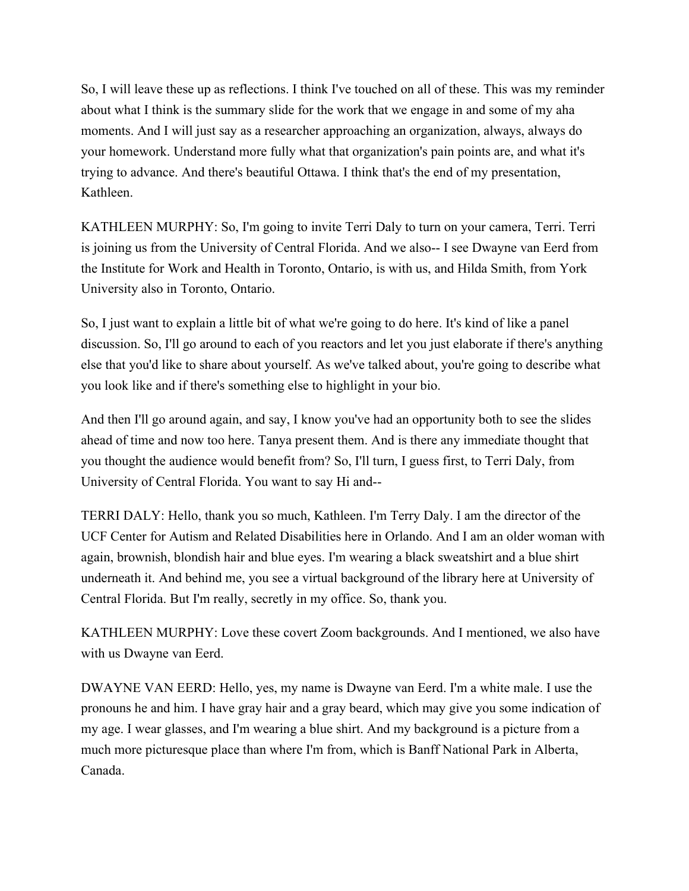So, I will leave these up as reflections. I think I've touched on all of these. This was my reminder about what I think is the summary slide for the work that we engage in and some of my aha moments. And I will just say as a researcher approaching an organization, always, always do your homework. Understand more fully what that organization's pain points are, and what it's trying to advance. And there's beautiful Ottawa. I think that's the end of my presentation, Kathleen.

KATHLEEN MURPHY: So, I'm going to invite Terri Daly to turn on your camera, Terri. Terri is joining us from the University of Central Florida. And we also-- I see Dwayne van Eerd from the Institute for Work and Health in Toronto, Ontario, is with us, and Hilda Smith, from York University also in Toronto, Ontario.

So, I just want to explain a little bit of what we're going to do here. It's kind of like a panel discussion. So, I'll go around to each of you reactors and let you just elaborate if there's anything else that you'd like to share about yourself. As we've talked about, you're going to describe what you look like and if there's something else to highlight in your bio.

And then I'll go around again, and say, I know you've had an opportunity both to see the slides ahead of time and now too here. Tanya present them. And is there any immediate thought that you thought the audience would benefit from? So, I'll turn, I guess first, to Terri Daly, from University of Central Florida. You want to say Hi and--

TERRI DALY: Hello, thank you so much, Kathleen. I'm Terry Daly. I am the director of the UCF Center for Autism and Related Disabilities here in Orlando. And I am an older woman with again, brownish, blondish hair and blue eyes. I'm wearing a black sweatshirt and a blue shirt underneath it. And behind me, you see a virtual background of the library here at University of Central Florida. But I'm really, secretly in my office. So, thank you.

KATHLEEN MURPHY: Love these covert Zoom backgrounds. And I mentioned, we also have with us Dwayne van Eerd.

DWAYNE VAN EERD: Hello, yes, my name is Dwayne van Eerd. I'm a white male. I use the pronouns he and him. I have gray hair and a gray beard, which may give you some indication of my age. I wear glasses, and I'm wearing a blue shirt. And my background is a picture from a much more picturesque place than where I'm from, which is Banff National Park in Alberta, Canada.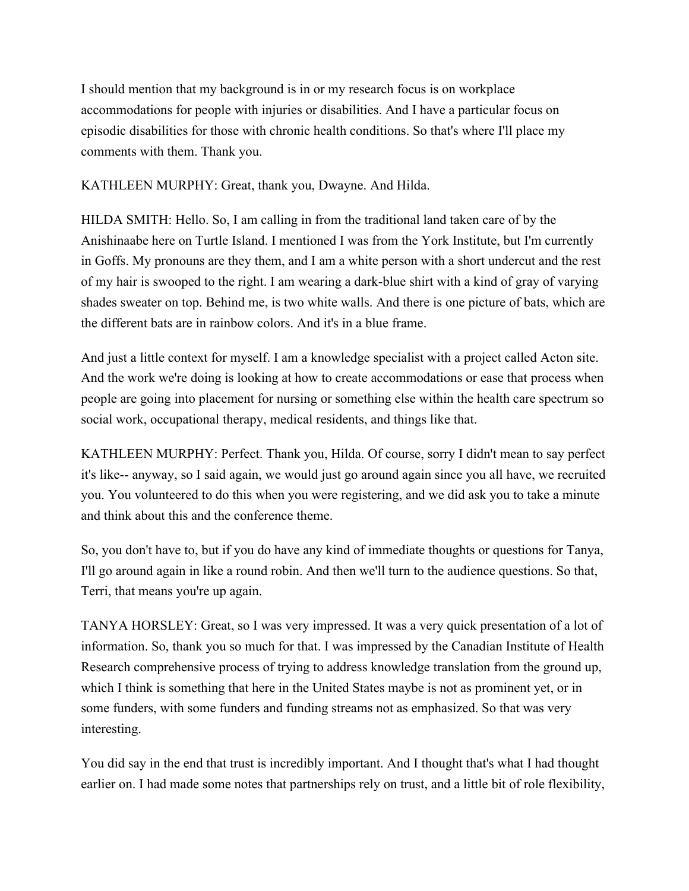I should mention that my background is in or my research focus is on workplace accommodations for people with injuries or disabilities. And I have a particular focus on episodic disabilities for those with chronic health conditions. So that's where I'll place my comments with them. Thank you.

KATHLEEN MURPHY: Great, thank you, Dwayne. And Hilda.

HILDA SMITH: Hello. So, I am calling in from the traditional land taken care of by the Anishinaabe here on Turtle Island. I mentioned I was from the York Institute, but I'm currently in Goffs. My pronouns are they them, and I am a white person with a short undercut and the rest of my hair is swooped to the right. I am wearing a dark-blue shirt with a kind of gray of varying shades sweater on top. Behind me, is two white walls. And there is one picture of bats, which are the different bats are in rainbow colors. And it's in a blue frame.

And just a little context for myself. I am a knowledge specialist with a project called Acton site. And the work we're doing is looking at how to create accommodations or ease that process when people are going into placement for nursing or something else within the health care spectrum so social work, occupational therapy, medical residents, and things like that.

KATHLEEN MURPHY: Perfect. Thank you, Hilda. Of course, sorry I didn't mean to say perfect it's like-- anyway, so I said again, we would just go around again since you all have, we recruited you. You volunteered to do this when you were registering, and we did ask you to take a minute and think about this and the conference theme.

So, you don't have to, but if you do have any kind of immediate thoughts or questions for Tanya, I'll go around again in like a round robin. And then we'll turn to the audience questions. So that, Terri, that means you're up again.

TANYA HORSLEY: Great, so I was very impressed. It was a very quick presentation of a lot of information. So, thank you so much for that. I was impressed by the Canadian Institute of Health Research comprehensive process of trying to address knowledge translation from the ground up, which I think is something that here in the United States maybe is not as prominent yet, or in some funders, with some funders and funding streams not as emphasized. So that was very interesting.

You did say in the end that trust is incredibly important. And I thought that's what I had thought earlier on. I had made some notes that partnerships rely on trust, and a little bit of role flexibility,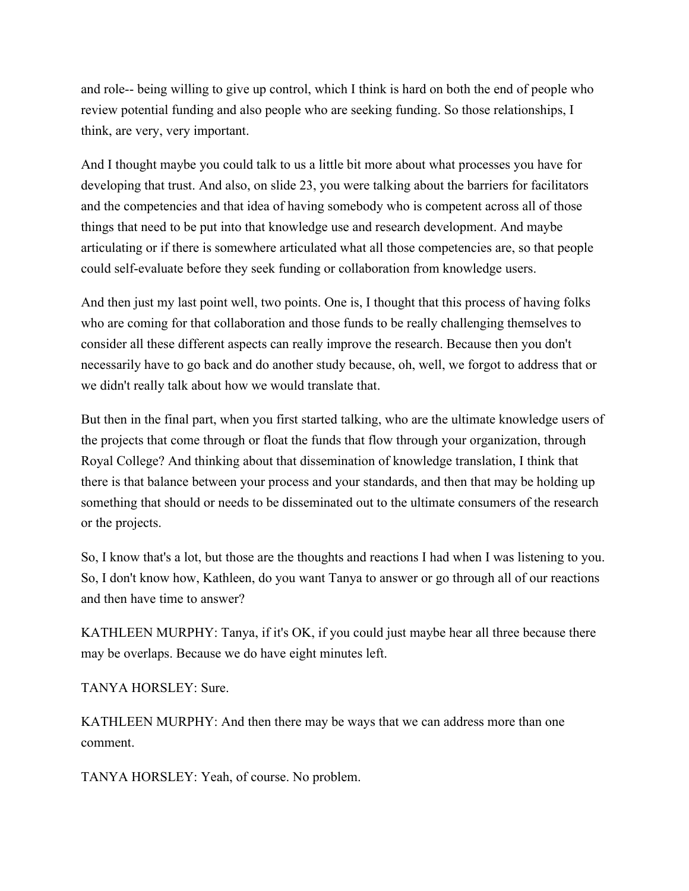and role-- being willing to give up control, which I think is hard on both the end of people who review potential funding and also people who are seeking funding. So those relationships, I think, are very, very important.

And I thought maybe you could talk to us a little bit more about what processes you have for developing that trust. And also, on slide 23, you were talking about the barriers for facilitators and the competencies and that idea of having somebody who is competent across all of those things that need to be put into that knowledge use and research development. And maybe articulating or if there is somewhere articulated what all those competencies are, so that people could self-evaluate before they seek funding or collaboration from knowledge users.

And then just my last point well, two points. One is, I thought that this process of having folks who are coming for that collaboration and those funds to be really challenging themselves to consider all these different aspects can really improve the research. Because then you don't necessarily have to go back and do another study because, oh, well, we forgot to address that or we didn't really talk about how we would translate that.

But then in the final part, when you first started talking, who are the ultimate knowledge users of the projects that come through or float the funds that flow through your organization, through Royal College? And thinking about that dissemination of knowledge translation, I think that there is that balance between your process and your standards, and then that may be holding up something that should or needs to be disseminated out to the ultimate consumers of the research or the projects.

So, I know that's a lot, but those are the thoughts and reactions I had when I was listening to you. So, I don't know how, Kathleen, do you want Tanya to answer or go through all of our reactions and then have time to answer?

KATHLEEN MURPHY: Tanya, if it's OK, if you could just maybe hear all three because there may be overlaps. Because we do have eight minutes left.

TANYA HORSLEY: Sure.

KATHLEEN MURPHY: And then there may be ways that we can address more than one comment.

TANYA HORSLEY: Yeah, of course. No problem.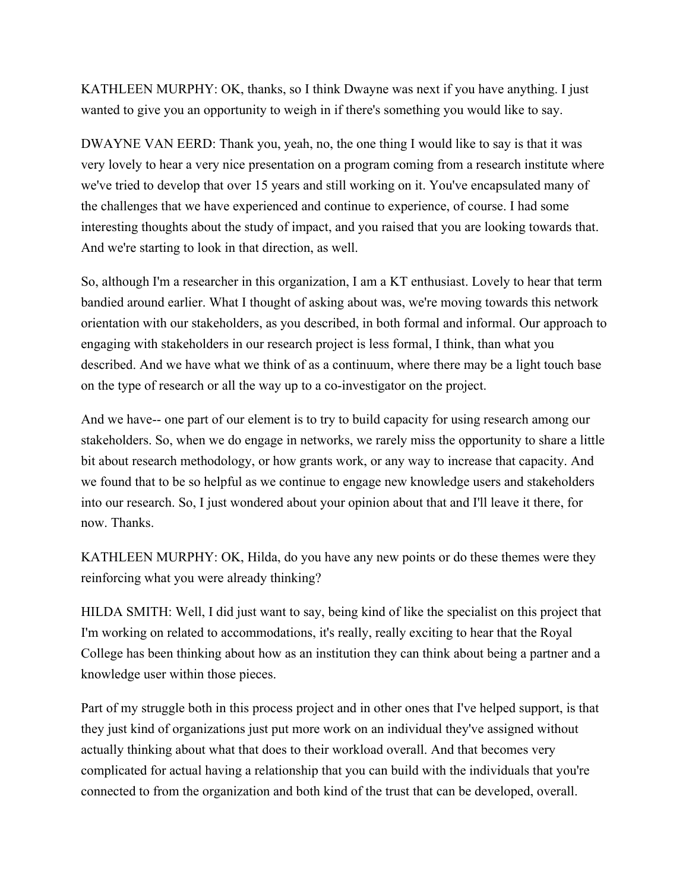KATHLEEN MURPHY: OK, thanks, so I think Dwayne was next if you have anything. I just wanted to give you an opportunity to weigh in if there's something you would like to say.

DWAYNE VAN EERD: Thank you, yeah, no, the one thing I would like to say is that it was very lovely to hear a very nice presentation on a program coming from a research institute where we've tried to develop that over 15 years and still working on it. You've encapsulated many of the challenges that we have experienced and continue to experience, of course. I had some interesting thoughts about the study of impact, and you raised that you are looking towards that. And we're starting to look in that direction, as well.

So, although I'm a researcher in this organization, I am a KT enthusiast. Lovely to hear that term bandied around earlier. What I thought of asking about was, we're moving towards this network orientation with our stakeholders, as you described, in both formal and informal. Our approach to engaging with stakeholders in our research project is less formal, I think, than what you described. And we have what we think of as a continuum, where there may be a light touch base on the type of research or all the way up to a co-investigator on the project.

And we have-- one part of our element is to try to build capacity for using research among our stakeholders. So, when we do engage in networks, we rarely miss the opportunity to share a little bit about research methodology, or how grants work, or any way to increase that capacity. And we found that to be so helpful as we continue to engage new knowledge users and stakeholders into our research. So, I just wondered about your opinion about that and I'll leave it there, for now. Thanks.

KATHLEEN MURPHY: OK, Hilda, do you have any new points or do these themes were they reinforcing what you were already thinking?

HILDA SMITH: Well, I did just want to say, being kind of like the specialist on this project that I'm working on related to accommodations, it's really, really exciting to hear that the Royal College has been thinking about how as an institution they can think about being a partner and a knowledge user within those pieces.

Part of my struggle both in this process project and in other ones that I've helped support, is that they just kind of organizations just put more work on an individual they've assigned without actually thinking about what that does to their workload overall. And that becomes very complicated for actual having a relationship that you can build with the individuals that you're connected to from the organization and both kind of the trust that can be developed, overall.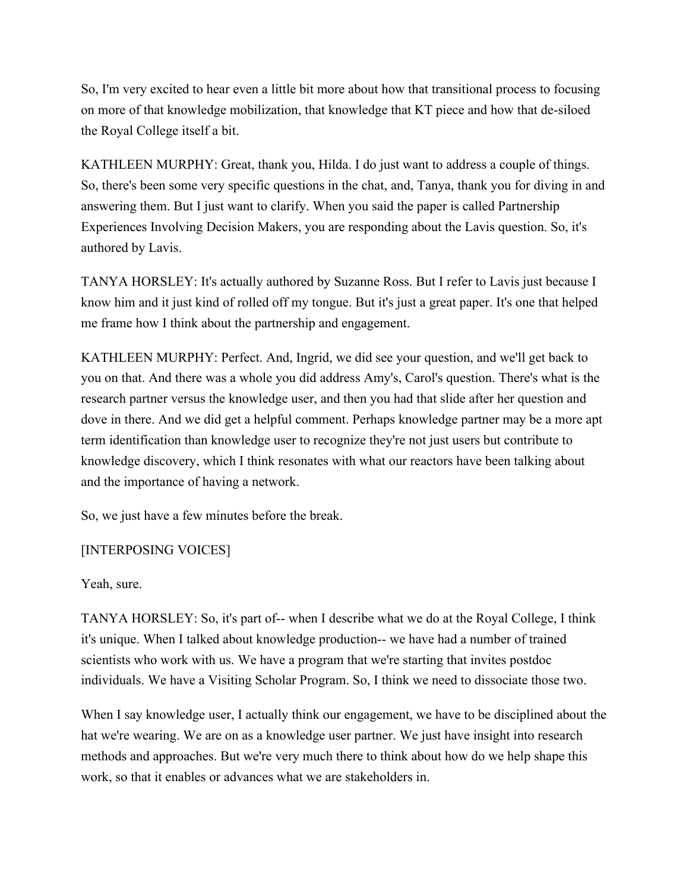So, I'm very excited to hear even a little bit more about how that transitional process to focusing on more of that knowledge mobilization, that knowledge that KT piece and how that de-siloed the Royal College itself a bit.

KATHLEEN MURPHY: Great, thank you, Hilda. I do just want to address a couple of things. So, there's been some very specific questions in the chat, and, Tanya, thank you for diving in and answering them. But I just want to clarify. When you said the paper is called Partnership Experiences Involving Decision Makers, you are responding about the Lavis question. So, it's authored by Lavis.

TANYA HORSLEY: It's actually authored by Suzanne Ross. But I refer to Lavis just because I know him and it just kind of rolled off my tongue. But it's just a great paper. It's one that helped me frame how I think about the partnership and engagement.

KATHLEEN MURPHY: Perfect. And, Ingrid, we did see your question, and we'll get back to you on that. And there was a whole you did address Amy's, Carol's question. There's what is the research partner versus the knowledge user, and then you had that slide after her question and dove in there. And we did get a helpful comment. Perhaps knowledge partner may be a more apt term identification than knowledge user to recognize they're not just users but contribute to knowledge discovery, which I think resonates with what our reactors have been talking about and the importance of having a network.

So, we just have a few minutes before the break.

## [INTERPOSING VOICES]

Yeah, sure.

TANYA HORSLEY: So, it's part of-- when I describe what we do at the Royal College, I think it's unique. When I talked about knowledge production-- we have had a number of trained scientists who work with us. We have a program that we're starting that invites postdoc individuals. We have a Visiting Scholar Program. So, I think we need to dissociate those two.

When I say knowledge user, I actually think our engagement, we have to be disciplined about the hat we're wearing. We are on as a knowledge user partner. We just have insight into research methods and approaches. But we're very much there to think about how do we help shape this work, so that it enables or advances what we are stakeholders in.